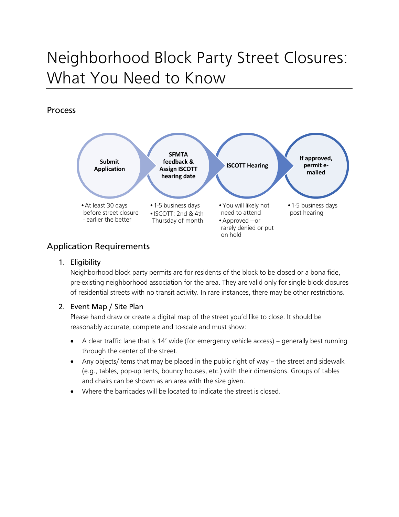# Neighborhood Block Party Street Closures: What You Need to Know

## Process



# Application Requirements

1. Eligibility

Neighborhood block party permits are for residents of the block to be closed or a bona fide, pre-existing neighborhood association for the area. They are valid only for single block closures of residential streets with no transit activity. In rare instances, there may be other restrictions.

## 2. Event Map / Site Plan

Please hand draw or create a digital map of the street you'd like to close. It should be reasonably accurate, complete and to-scale and must show:

- A clear traffic lane that is 14' wide (for emergency vehicle access) generally best running through the center of the street.
- Any objects/items that may be placed in the public right of way the street and sidewalk (e.g., tables, pop-up tents, bouncy houses, etc.) with their dimensions. Groups of tables and chairs can be shown as an area with the size given.
- Where the barricades will be located to indicate the street is closed.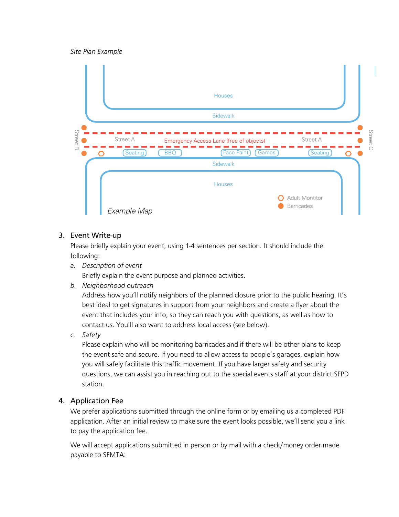*Site Plan Example*



## 3. Event Write-up

Please briefly explain your event, using 1-4 sentences per section. It should include the following:

*a. Description of event*

Briefly explain the event purpose and planned activities.

*b. Neighborhood outreach*

Address how you'll notify neighbors of the planned closure prior to the public hearing. It's best ideal to get signatures in support from your neighbors and create a flyer about the event that includes your info, so they can reach you with questions, as well as how to contact us. You'll also want to address local access (see below).

*c. Safety* 

Please explain who will be monitoring barricades and if there will be other plans to keep the event safe and secure. If you need to allow access to people's garages, explain how you will safely facilitate this traffic movement. If you have larger safety and security questions, we can assist you in reaching out to the special events staff at your district SFPD station.

#### 4. Application Fee

We prefer applications submitted through the online form or by emailing us a completed PDF application. After an initial review to make sure the event looks possible, we'll send you a link to pay the application fee.

We will accept applications submitted in person or by mail with a check/money order made payable to SFMTA: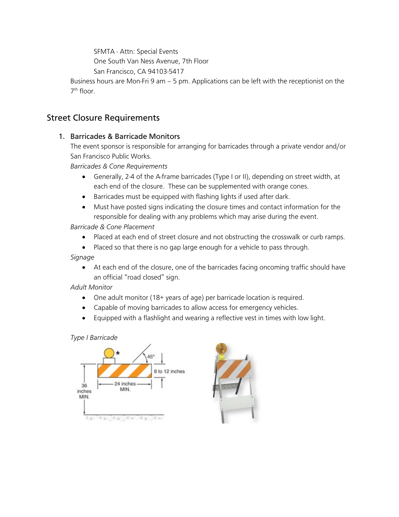SFMTA - Attn: Special Events

One South Van Ness Avenue, 7th Floor

San Francisco, CA 94103-5417

Business hours are Mon-Fri 9 am – 5 pm. Applications can be left with the receptionist on the 7th floor.

# Street Closure Requirements

## 1. Barricades & Barricade Monitors

The event sponsor is responsible for arranging for barricades through a private vendor and/or San Francisco Public Works.

*Barricades & Cone Requirements*

- Generally, 2-4 of the A-frame barricades (Type I or II), depending on street width, at each end of the closure. These can be supplemented with orange cones.
- Barricades must be equipped with flashing lights if used after dark.
- Must have posted signs indicating the closure times and contact information for the responsible for dealing with any problems which may arise during the event.

*Barricade & Cone Placement*

- Placed at each end of street closure and not obstructing the crosswalk or curb ramps.
- Placed so that there is no gap large enough for a vehicle to pass through.

*Signage*

• At each end of the closure, one of the barricades facing oncoming traffic should have an official "road closed" sign.

*Adult Monitor*

- One adult monitor (18+ years of age) per barricade location is required.
- Capable of moving barricades to allow access for emergency vehicles.
- Equipped with a flashlight and wearing a reflective vest in times with low light.

#### *Type I Barricade*



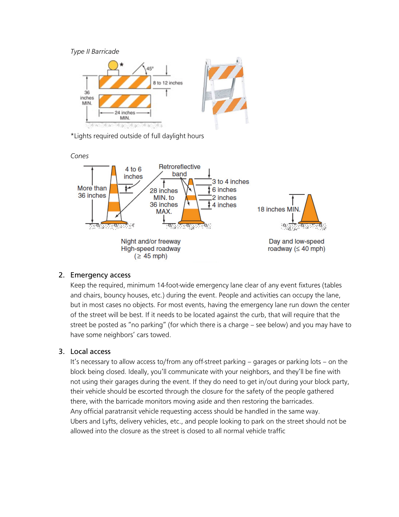*Type II Barricade*



\*Lights required outside of full daylight hours



#### 2. Emergency access

Keep the required, minimum 14-foot-wide emergency lane clear of any event fixtures (tables and chairs, bouncy houses, etc.) during the event. People and activities can occupy the lane, but in most cases no objects. For most events, having the emergency lane run down the center of the street will be best. If it needs to be located against the curb, that will require that the street be posted as "no parking" (for which there is a charge – see below) and you may have to have some neighbors' cars towed.

#### 3. Local access

It's necessary to allow access to/from any off-street parking – garages or parking lots – on the block being closed. Ideally, you'll communicate with your neighbors, and they'll be fine with not using their garages during the event. If they do need to get in/out during your block party, their vehicle should be escorted through the closure for the safety of the people gathered there, with the barricade monitors moving aside and then restoring the barricades. Any official paratransit vehicle requesting access should be handled in the same way. Ubers and Lyfts, delivery vehicles, etc., and people looking to park on the street should not be allowed into the closure as the street is closed to all normal vehicle traffic